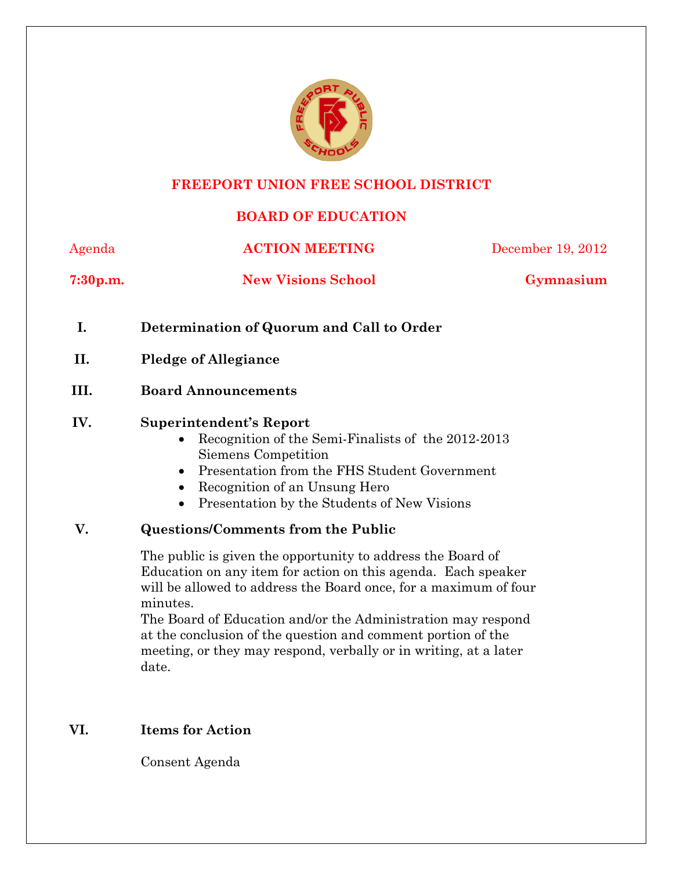

#### **FREEPORT UNION FREE SCHOOL DISTRICT**

# **BOARD OF EDUCATION**

Agenda **ACTION MEETING** December 19, 2012 **7:30p.m. New Visions School Gymnasium I. Determination of Quorum and Call to Order II. Pledge of Allegiance III. Board Announcements IV. Superintendent's Report**  • Recognition of the Semi-Finalists of the 2012-2013 Siemens Competition Presentation from the FHS Student Government • Recognition of an Unsung Hero • Presentation by the Students of New Visions **V. Questions/Comments from the Public**  The public is given the opportunity to address the Board of Education on any item for action on this agenda. Each speaker will be allowed to address the Board once, for a maximum of four minutes. The Board of Education and/or the Administration may respond at the conclusion of the question and comment portion of the meeting, or they may respond, verbally or in writing, at a later date.

**VI. Items for Action** 

Consent Agenda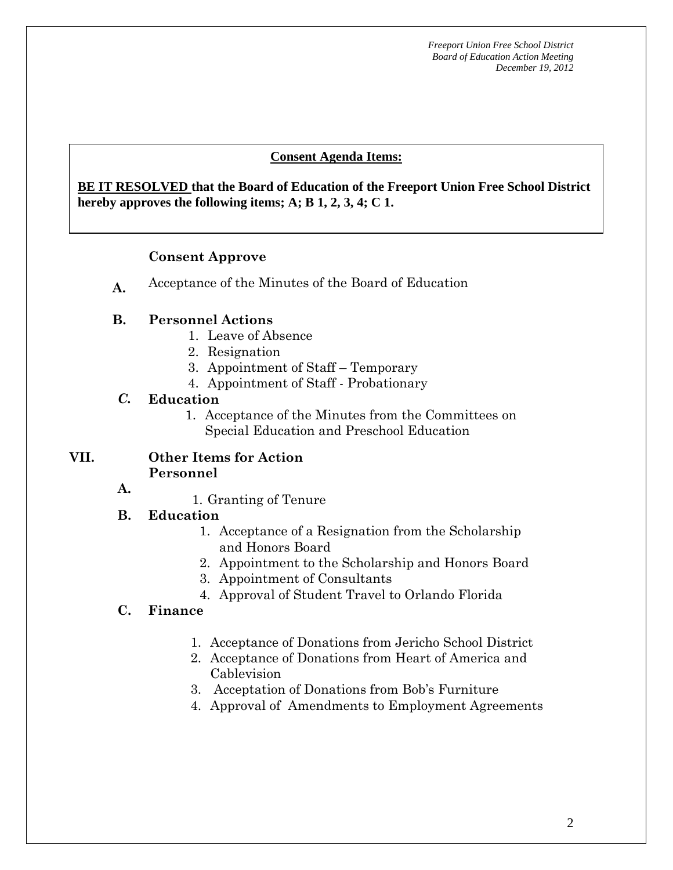#### **Consent Agenda Items:**

#### **BE IT RESOLVED that the Board of Education of the Freeport Union Free School District 1 Acceptance of the Minutes of the Minutes**  $\frac{1}{2}$ **hereby approves the following items; A; B 1, 2, 3, 4; C 1.**

#### **Consent Approve**

**A.** Acceptance of the Minutes of the Board of Education

#### **B. Personnel Actions**

- 1. Leave of Absence
- 2. Resignation
- 3. Appointment of Staff Temporary
- 4. Appointment of Staff Probationary

#### *C.* **Education**

1. Acceptance of the Minutes from the Committees on Special Education and Preschool Education

#### **VII. Other Items for Action Personnel**

**A.** 

1. Granting of Tenure

#### **B. Education**

- 1. Acceptance of a Resignation from the Scholarship and Honors Board
- 2. Appointment to the Scholarship and Honors Board
- 3. Appointment of Consultants
- 4. Approval of Student Travel to Orlando Florida

#### **C. Finance**

- 1. Acceptance of Donations from Jericho School District
- 2. Acceptance of Donations from Heart of America and Cablevision
- 3. Acceptation of Donations from Bob's Furniture
- 4. Approval of Amendments to Employment Agreements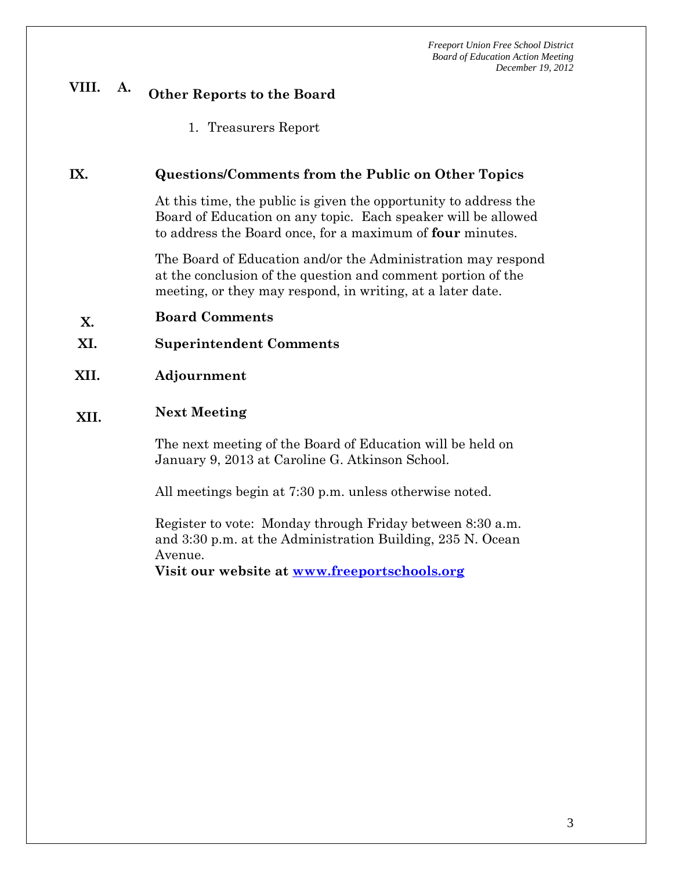# **VIII. A. Other Reports to the Board**

1. Treasurers Report

#### **IX. Questions/Comments from the Public on Other Topics**

At this time, the public is given the opportunity to address the Board of Education on any topic. Each speaker will be allowed to address the Board once, for a maximum of **four** minutes.

The Board of Education and/or the Administration may respond at the conclusion of the question and comment portion of the meeting, or they may respond, in writing, at a later date.

- **X. Board Comments**
- **XI. Superintendent Comments**
- **XII. Adjournment**

# **XII. Next Meeting**

The next meeting of the Board of Education will be held on January 9, 2013 at Caroline G. Atkinson School.

All meetings begin at 7:30 p.m. unless otherwise noted.

Register to vote: Monday through Friday between 8:30 a.m. and 3:30 p.m. at the Administration Building, 235 N. Ocean Avenue.

**Visit our website at www.freeportschools.org**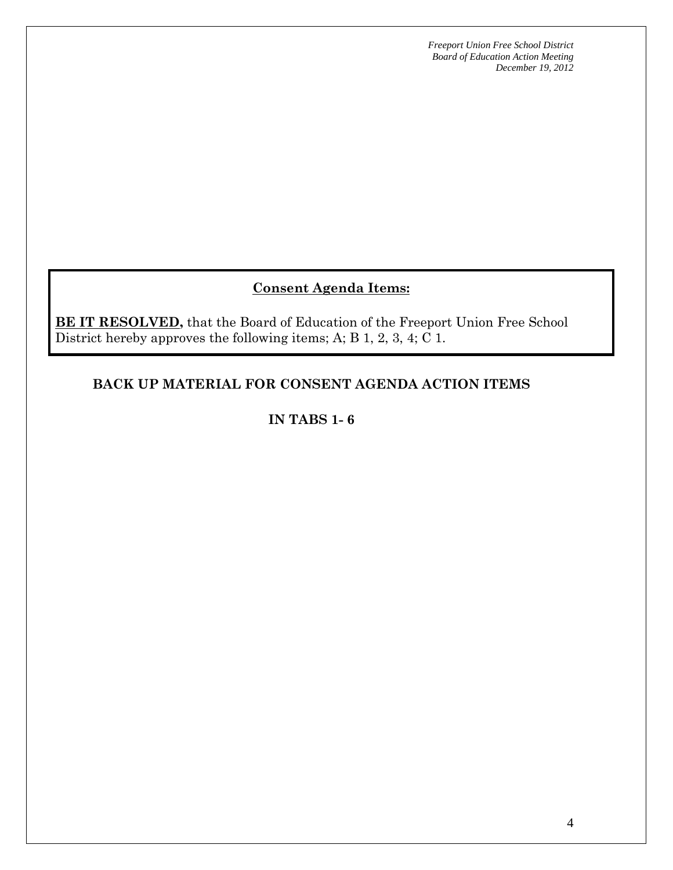# **Consent Agenda Items:**

**BE IT RESOLVED,** that the Board of Education of the Freeport Union Free School District hereby approves the following items; A; B 1, 2, 3, 4; C 1.

# **BACK UP MATERIAL FOR CONSENT AGENDA ACTION ITEMS**

## **IN TABS 1- 6**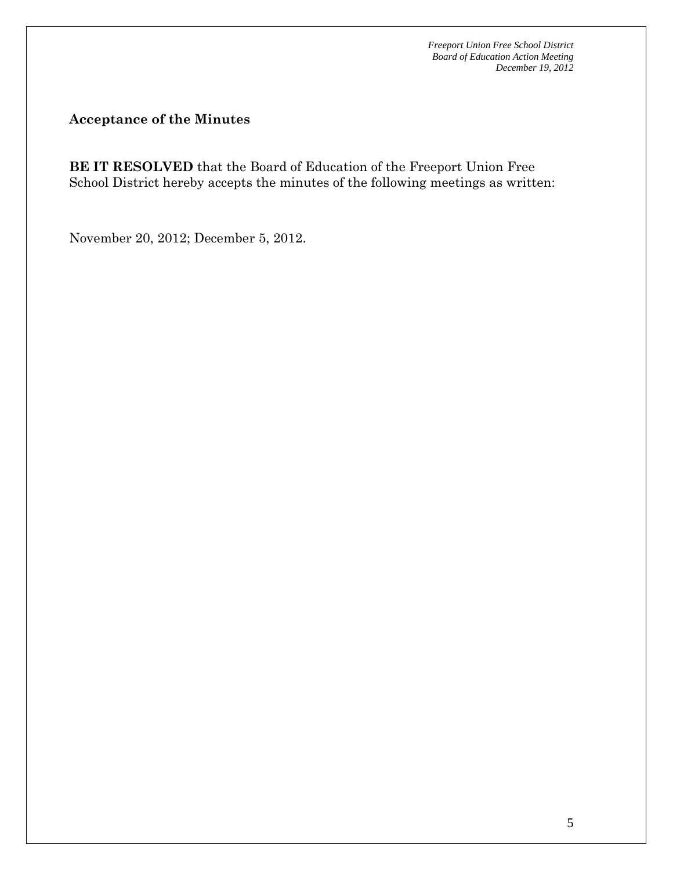**Acceptance of the Minutes** 

**BE IT RESOLVED** that the Board of Education of the Freeport Union Free School District hereby accepts the minutes of the following meetings as written:

November 20, 2012; December 5, 2012.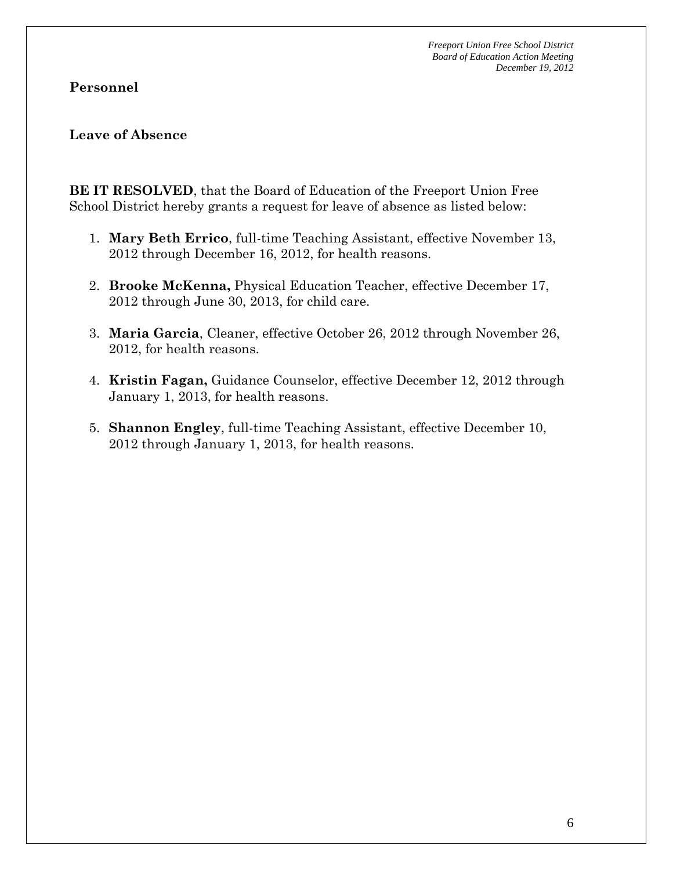#### **Personnel**

#### **Leave of Absence**

**BE IT RESOLVED**, that the Board of Education of the Freeport Union Free School District hereby grants a request for leave of absence as listed below:

- 1. **Mary Beth Errico**, full-time Teaching Assistant, effective November 13, 2012 through December 16, 2012, for health reasons.
- 2. **Brooke McKenna,** Physical Education Teacher, effective December 17, 2012 through June 30, 2013, for child care.
- 3. **Maria Garcia**, Cleaner, effective October 26, 2012 through November 26, 2012, for health reasons.
- 4. **Kristin Fagan,** Guidance Counselor, effective December 12, 2012 through January 1, 2013, for health reasons.
- 5. **Shannon Engley**, full-time Teaching Assistant, effective December 10, 2012 through January 1, 2013, for health reasons.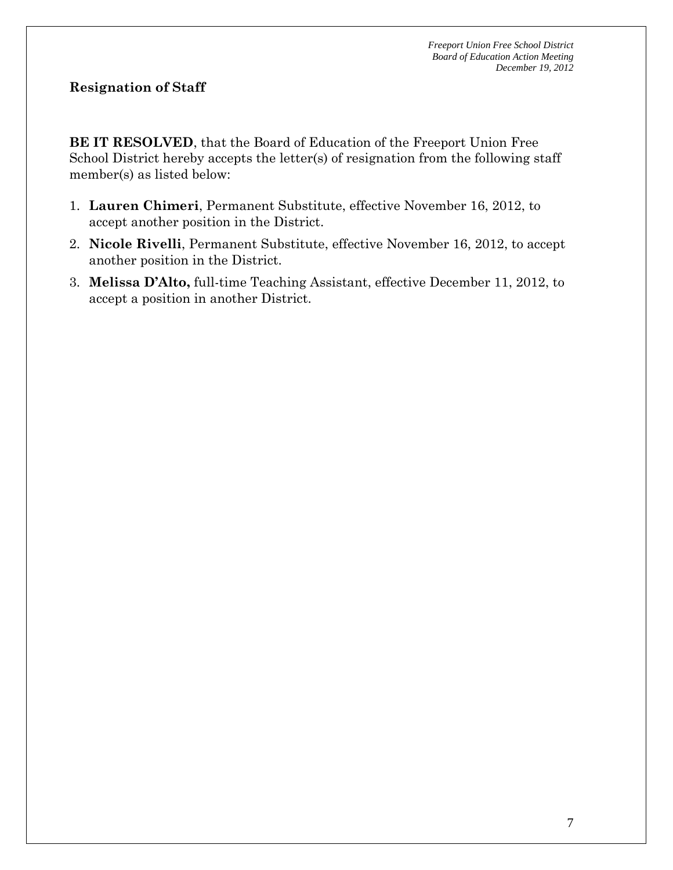## **Resignation of Staff**

**BE IT RESOLVED**, that the Board of Education of the Freeport Union Free School District hereby accepts the letter(s) of resignation from the following staff member(s) as listed below:

- 1. **Lauren Chimeri**, Permanent Substitute, effective November 16, 2012, to accept another position in the District.
- 2. **Nicole Rivelli**, Permanent Substitute, effective November 16, 2012, to accept another position in the District.
- 3. **Melissa D'Alto,** full-time Teaching Assistant, effective December 11, 2012, to accept a position in another District.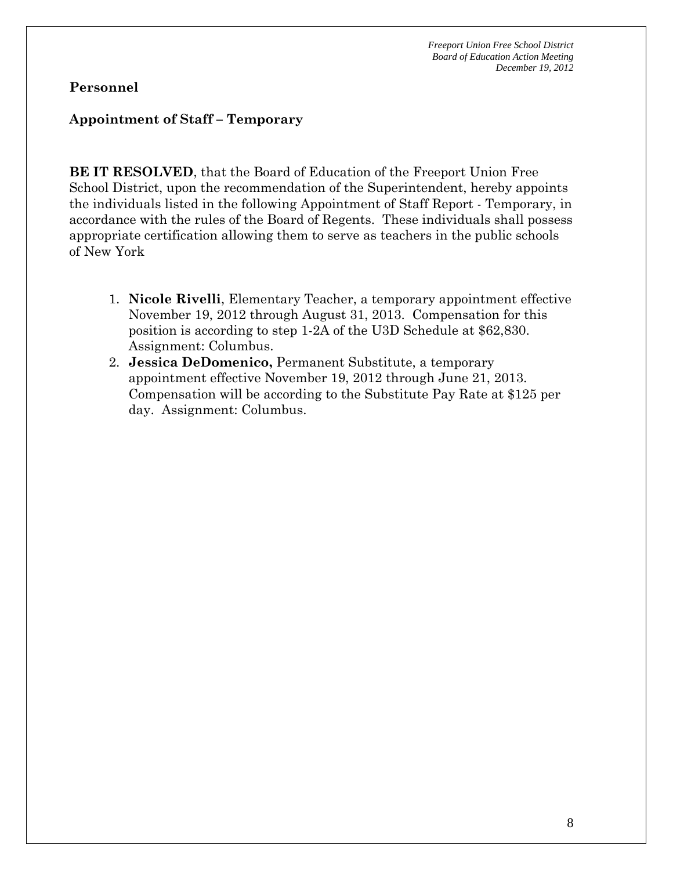#### **Personnel**

#### **Appointment of Staff – Temporary**

**BE IT RESOLVED**, that the Board of Education of the Freeport Union Free School District, upon the recommendation of the Superintendent, hereby appoints the individuals listed in the following Appointment of Staff Report - Temporary, in accordance with the rules of the Board of Regents. These individuals shall possess appropriate certification allowing them to serve as teachers in the public schools of New York

- 1. **Nicole Rivelli**, Elementary Teacher, a temporary appointment effective November 19, 2012 through August 31, 2013. Compensation for this position is according to step 1-2A of the U3D Schedule at \$62,830. Assignment: Columbus.
- 2. **Jessica DeDomenico,** Permanent Substitute, a temporary appointment effective November 19, 2012 through June 21, 2013. Compensation will be according to the Substitute Pay Rate at \$125 per day. Assignment: Columbus.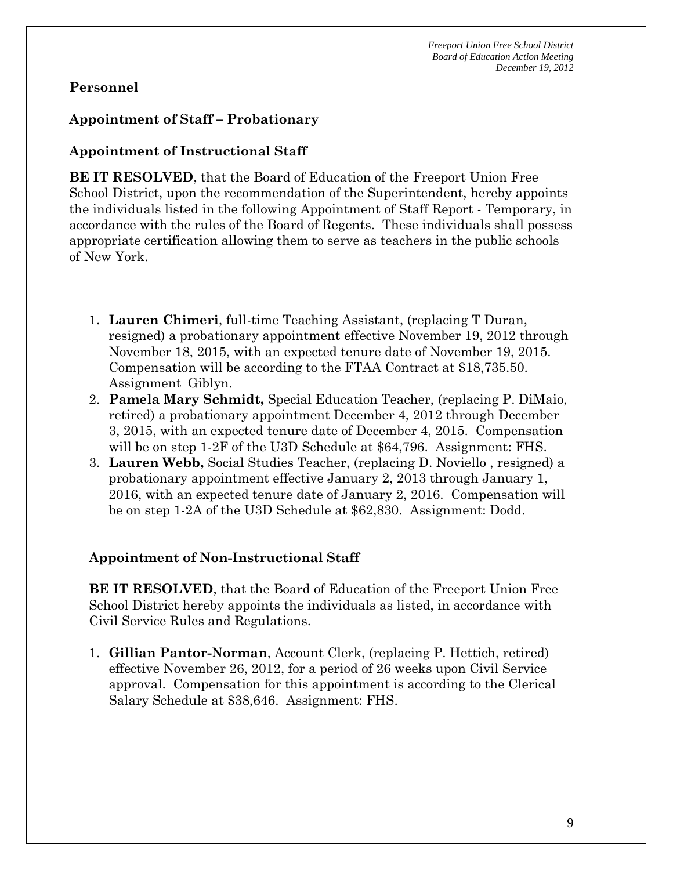### **Personnel**

#### **Appointment of Staff – Probationary**

## **Appointment of Instructional Staff**

**BE IT RESOLVED**, that the Board of Education of the Freeport Union Free School District, upon the recommendation of the Superintendent, hereby appoints the individuals listed in the following Appointment of Staff Report - Temporary, in accordance with the rules of the Board of Regents. These individuals shall possess appropriate certification allowing them to serve as teachers in the public schools of New York.

- 1. **Lauren Chimeri**, full-time Teaching Assistant, (replacing T Duran, resigned) a probationary appointment effective November 19, 2012 through November 18, 2015, with an expected tenure date of November 19, 2015. Compensation will be according to the FTAA Contract at \$18,735.50. Assignment Giblyn.
- 2. **Pamela Mary Schmidt,** Special Education Teacher, (replacing P. DiMaio, retired) a probationary appointment December 4, 2012 through December 3, 2015, with an expected tenure date of December 4, 2015. Compensation will be on step 1-2F of the U3D Schedule at \$64,796. Assignment: FHS.
- 3. **Lauren Webb,** Social Studies Teacher, (replacing D. Noviello , resigned) a probationary appointment effective January 2, 2013 through January 1, 2016, with an expected tenure date of January 2, 2016. Compensation will be on step 1-2A of the U3D Schedule at \$62,830. Assignment: Dodd.

#### **Appointment of Non-Instructional Staff**

**BE IT RESOLVED**, that the Board of Education of the Freeport Union Free School District hereby appoints the individuals as listed, in accordance with Civil Service Rules and Regulations.

1. **Gillian Pantor-Norman**, Account Clerk, (replacing P. Hettich, retired) effective November 26, 2012, for a period of 26 weeks upon Civil Service approval. Compensation for this appointment is according to the Clerical Salary Schedule at \$38,646. Assignment: FHS.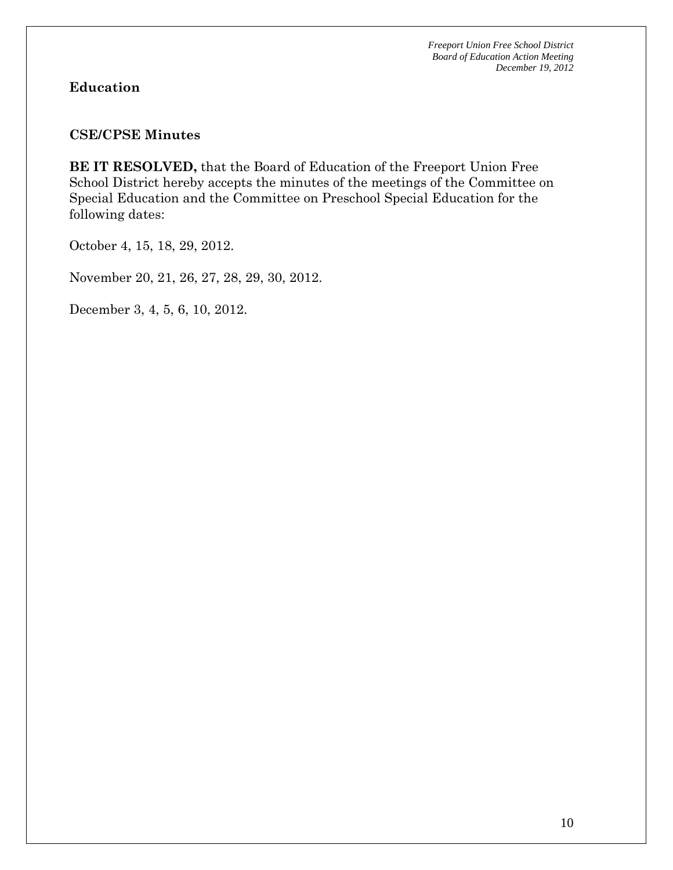#### **Education**

#### **CSE/CPSE Minutes**

**BE IT RESOLVED,** that the Board of Education of the Freeport Union Free School District hereby accepts the minutes of the meetings of the Committee on Special Education and the Committee on Preschool Special Education for the following dates:

October 4, 15, 18, 29, 2012.

November 20, 21, 26, 27, 28, 29, 30, 2012.

December 3, 4, 5, 6, 10, 2012.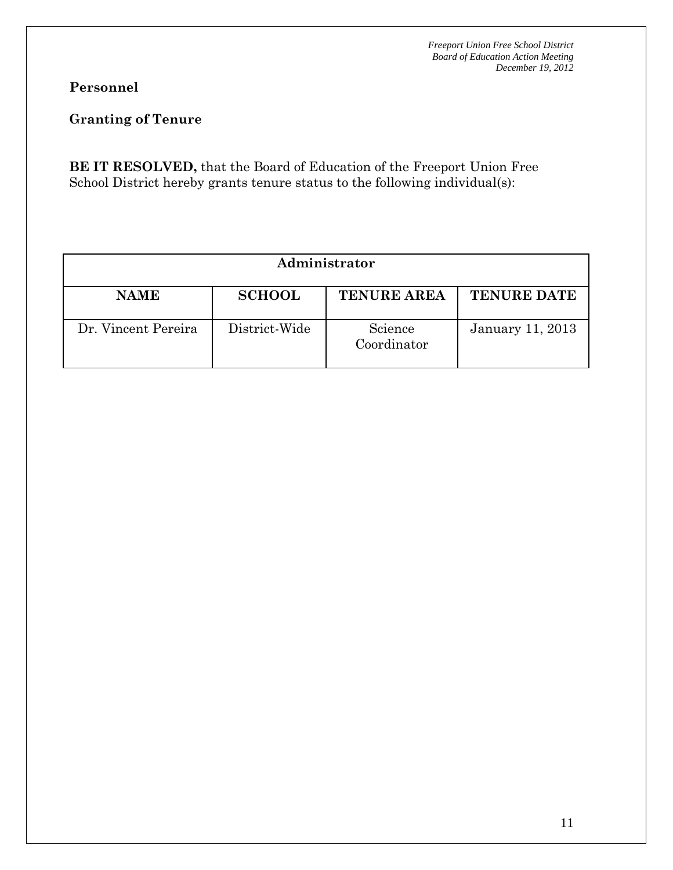# **Personnel**

# **Granting of Tenure**

**BE IT RESOLVED,** that the Board of Education of the Freeport Union Free School District hereby grants tenure status to the following individual(s):

| Administrator       |               |                        |                         |  |  |  |
|---------------------|---------------|------------------------|-------------------------|--|--|--|
| <b>NAME</b>         | <b>SCHOOL</b> | <b>TENURE AREA</b>     | <b>TENURE DATE</b>      |  |  |  |
| Dr. Vincent Pereira | District-Wide | Science<br>Coordinator | <b>January 11, 2013</b> |  |  |  |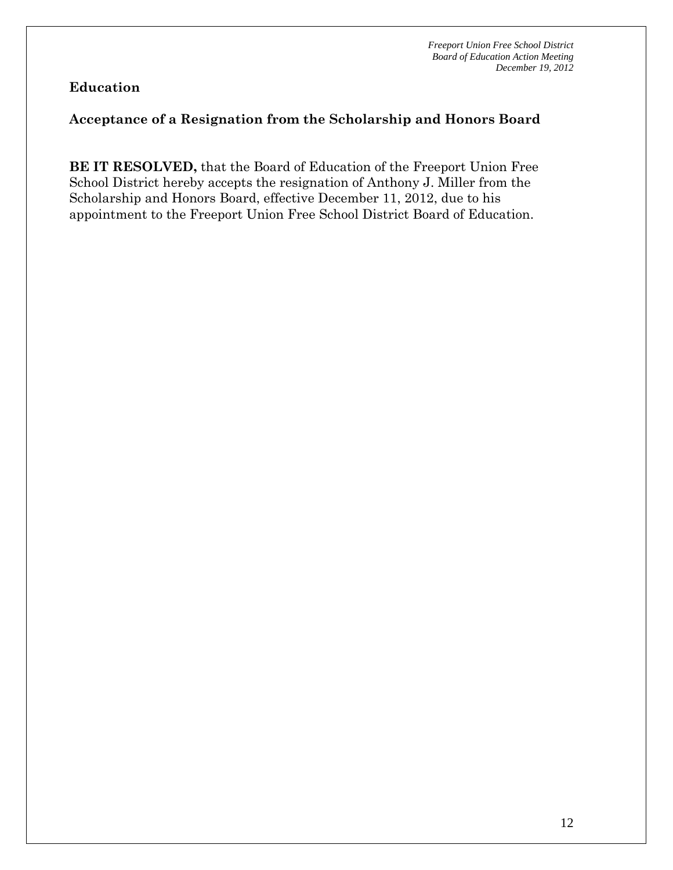#### **Acceptance of a Resignation from the Scholarship and Honors Board**

**BE IT RESOLVED,** that the Board of Education of the Freeport Union Free School District hereby accepts the resignation of Anthony J. Miller from the Scholarship and Honors Board, effective December 11, 2012, due to his appointment to the Freeport Union Free School District Board of Education.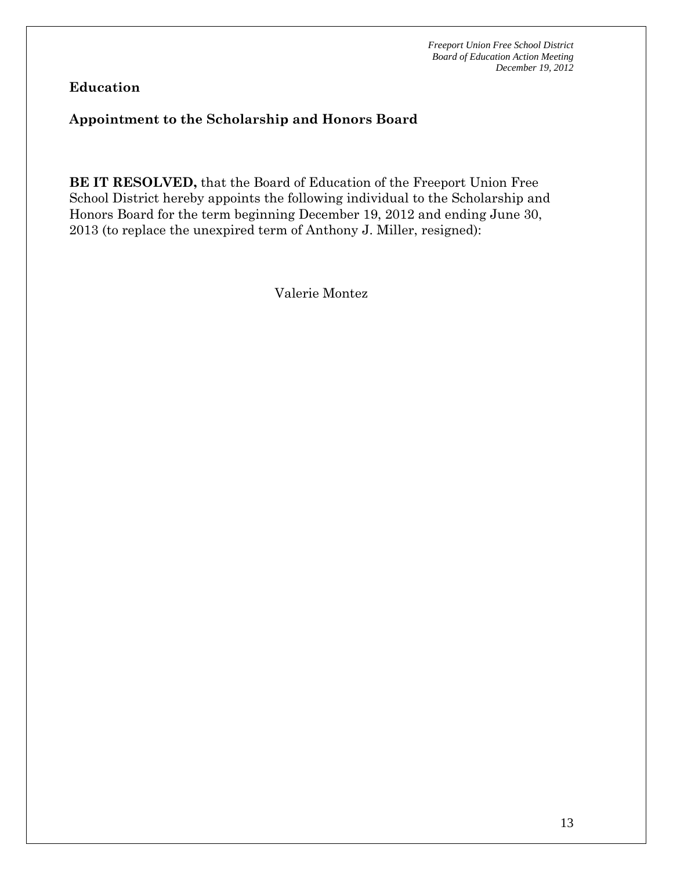## **Appointment to the Scholarship and Honors Board**

**BE IT RESOLVED,** that the Board of Education of the Freeport Union Free School District hereby appoints the following individual to the Scholarship and Honors Board for the term beginning December 19, 2012 and ending June 30, 2013 (to replace the unexpired term of Anthony J. Miller, resigned):

Valerie Montez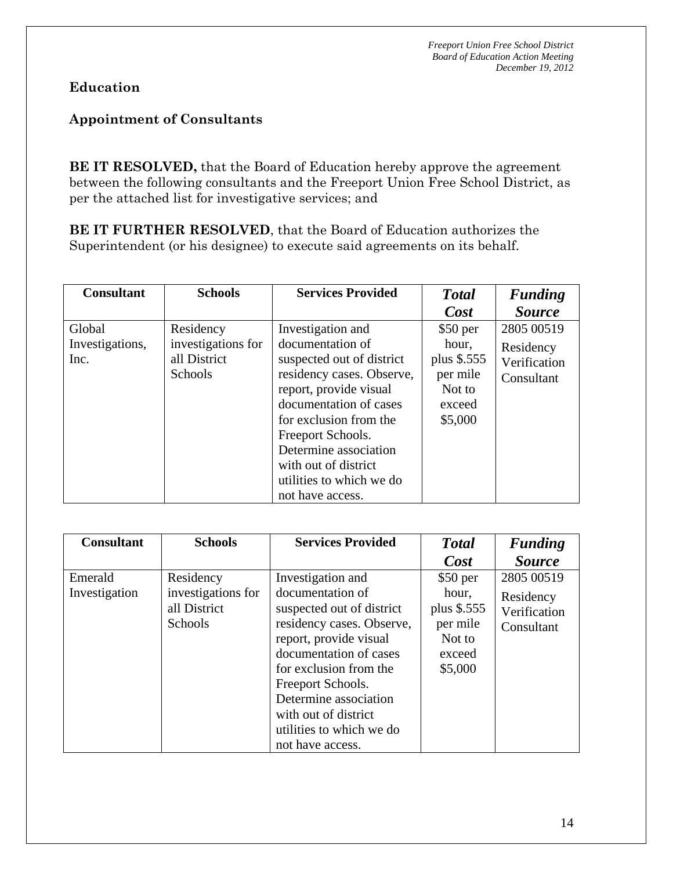# **Appointment of Consultants**

**BE IT RESOLVED,** that the Board of Education hereby approve the agreement between the following consultants and the Freeport Union Free School District, as per the attached list for investigative services; and

**BE IT FURTHER RESOLVED**, that the Board of Education authorizes the Superintendent (or his designee) to execute said agreements on its behalf.

| <b>Consultant</b> | <b>Schools</b>     | <b>Services Provided</b>  | <b>Total</b> | <b>Funding</b> |
|-------------------|--------------------|---------------------------|--------------|----------------|
|                   |                    |                           | Cost         | <b>Source</b>  |
| Global            | Residency          | Investigation and         | $$50$ per    | 2805 00519     |
| Investigations,   | investigations for | documentation of          | hour,        | Residency      |
| Inc.              | all District       | suspected out of district | plus \$.555  | Verification   |
|                   | Schools            | residency cases. Observe, | per mile     | Consultant     |
|                   |                    | report, provide visual    | Not to       |                |
|                   |                    | documentation of cases    | exceed       |                |
|                   |                    | for exclusion from the    | \$5,000      |                |
|                   |                    | Freeport Schools.         |              |                |
|                   |                    | Determine association     |              |                |
|                   |                    | with out of district      |              |                |
|                   |                    | utilities to which we do  |              |                |
|                   |                    | not have access.          |              |                |

| <b>Consultant</b>        | <b>Schools</b>                                             | <b>Services Provided</b>                                                                                                                                                                                                    | <b>T</b> otal                                                                | <b>Funding</b>                                        |
|--------------------------|------------------------------------------------------------|-----------------------------------------------------------------------------------------------------------------------------------------------------------------------------------------------------------------------------|------------------------------------------------------------------------------|-------------------------------------------------------|
|                          |                                                            |                                                                                                                                                                                                                             | Cost                                                                         | <i>Source</i>                                         |
| Emerald<br>Investigation | Residency<br>investigations for<br>all District<br>Schools | Investigation and<br>documentation of<br>suspected out of district<br>residency cases. Observe,<br>report, provide visual<br>documentation of cases<br>for exclusion from the<br>Freeport Schools.<br>Determine association | $$50$ per<br>hour,<br>plus \$.555<br>per mile<br>Not to<br>exceed<br>\$5,000 | 2805 00519<br>Residency<br>Verification<br>Consultant |
|                          |                                                            | with out of district                                                                                                                                                                                                        |                                                                              |                                                       |
|                          |                                                            | utilities to which we do<br>not have access.                                                                                                                                                                                |                                                                              |                                                       |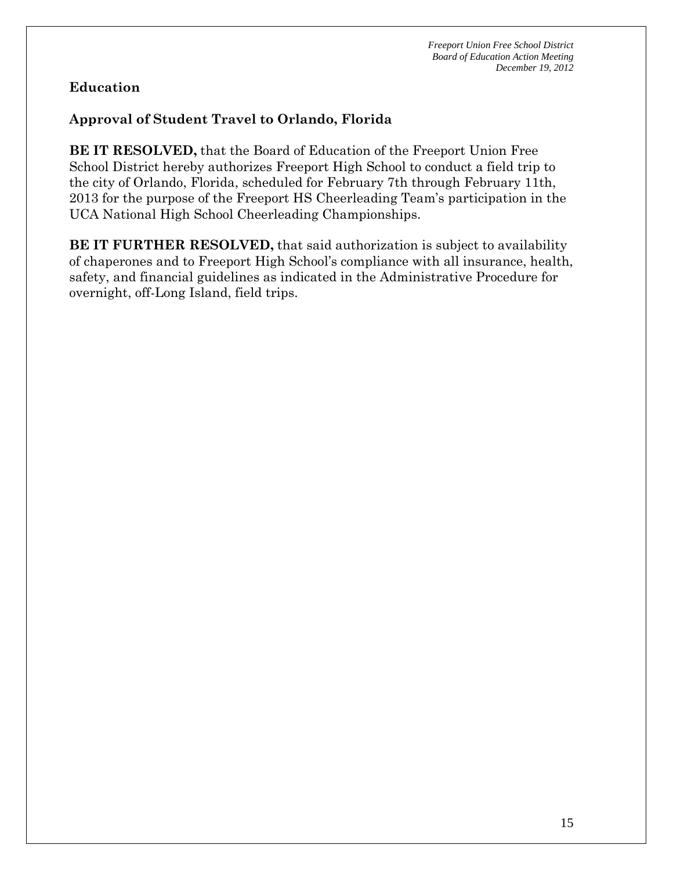# **Approval of Student Travel to Orlando, Florida**

**BE IT RESOLVED,** that the Board of Education of the Freeport Union Free School District hereby authorizes Freeport High School to conduct a field trip to the city of Orlando, Florida, scheduled for February 7th through February 11th, 2013 for the purpose of the Freeport HS Cheerleading Team's participation in the UCA National High School Cheerleading Championships.

**BE IT FURTHER RESOLVED,** that said authorization is subject to availability of chaperones and to Freeport High School's compliance with all insurance, health, safety, and financial guidelines as indicated in the Administrative Procedure for overnight, off-Long Island, field trips.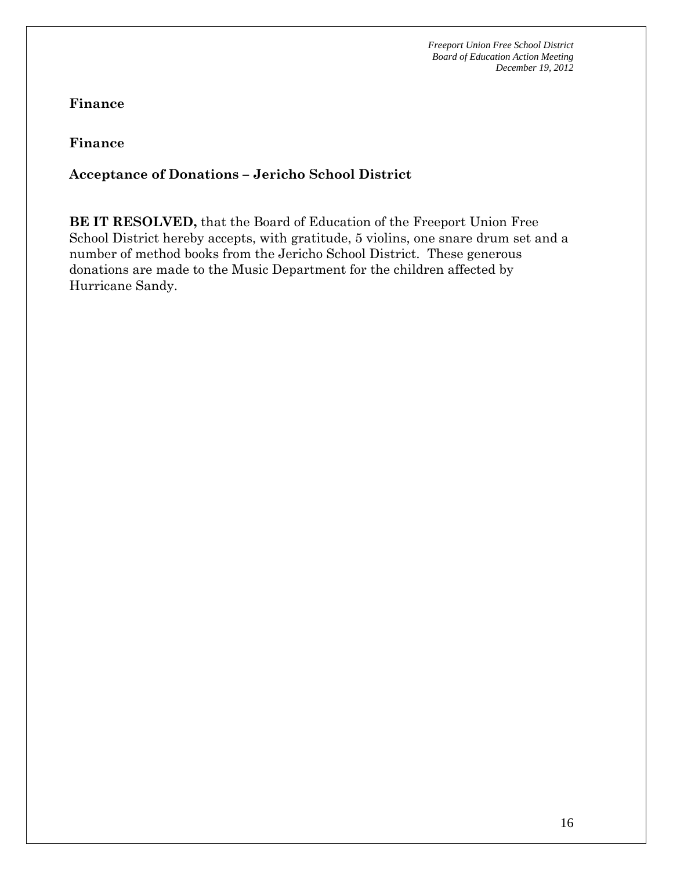**Finance** 

**Finance** 

# **Acceptance of Donations – Jericho School District**

**BE IT RESOLVED,** that the Board of Education of the Freeport Union Free School District hereby accepts, with gratitude, 5 violins, one snare drum set and a number of method books from the Jericho School District. These generous donations are made to the Music Department for the children affected by Hurricane Sandy.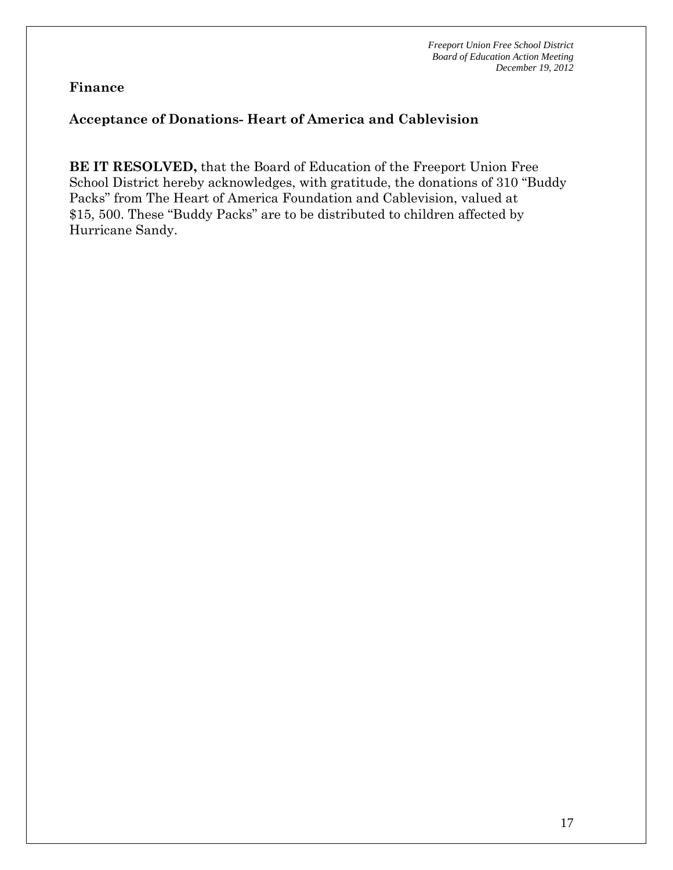**Finance** 

## **Acceptance of Donations- Heart of America and Cablevision**

**BE IT RESOLVED,** that the Board of Education of the Freeport Union Free School District hereby acknowledges, with gratitude, the donations of 310 "Buddy Packs" from The Heart of America Foundation and Cablevision, valued at \$15, 500. These "Buddy Packs" are to be distributed to children affected by Hurricane Sandy.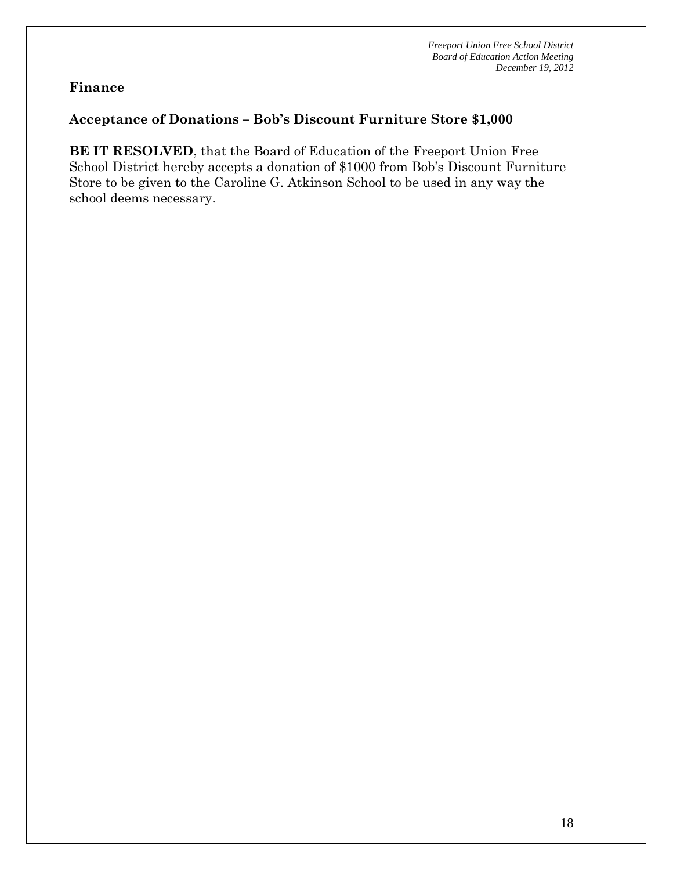#### **Finance**

## **Acceptance of Donations – Bob's Discount Furniture Store \$1,000**

**BE IT RESOLVED**, that the Board of Education of the Freeport Union Free School District hereby accepts a donation of \$1000 from Bob's Discount Furniture Store to be given to the Caroline G. Atkinson School to be used in any way the school deems necessary.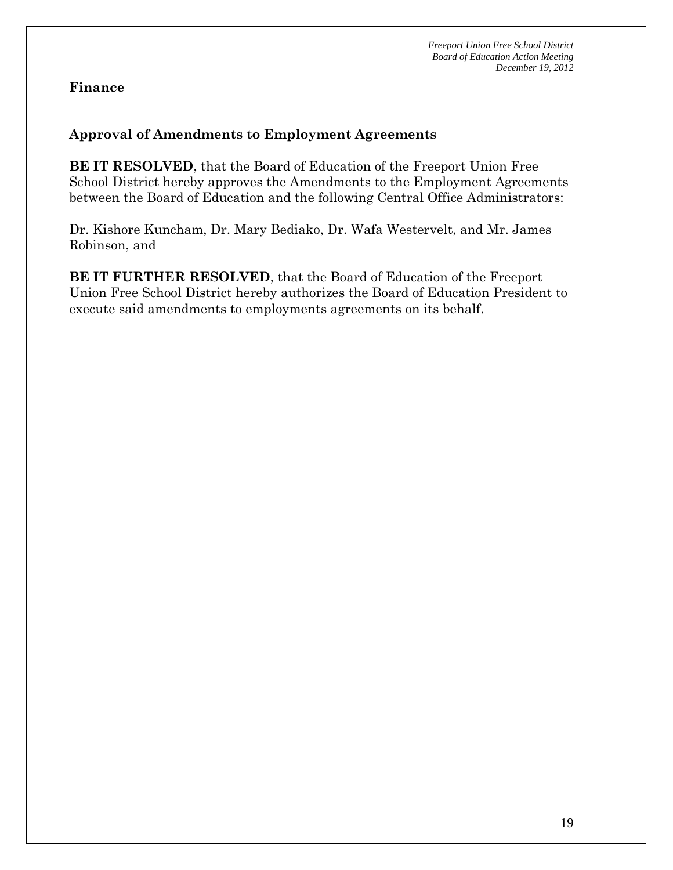### **Finance**

## **Approval of Amendments to Employment Agreements**

**BE IT RESOLVED**, that the Board of Education of the Freeport Union Free School District hereby approves the Amendments to the Employment Agreements between the Board of Education and the following Central Office Administrators:

Dr. Kishore Kuncham, Dr. Mary Bediako, Dr. Wafa Westervelt, and Mr. James Robinson, and

**BE IT FURTHER RESOLVED**, that the Board of Education of the Freeport Union Free School District hereby authorizes the Board of Education President to execute said amendments to employments agreements on its behalf.